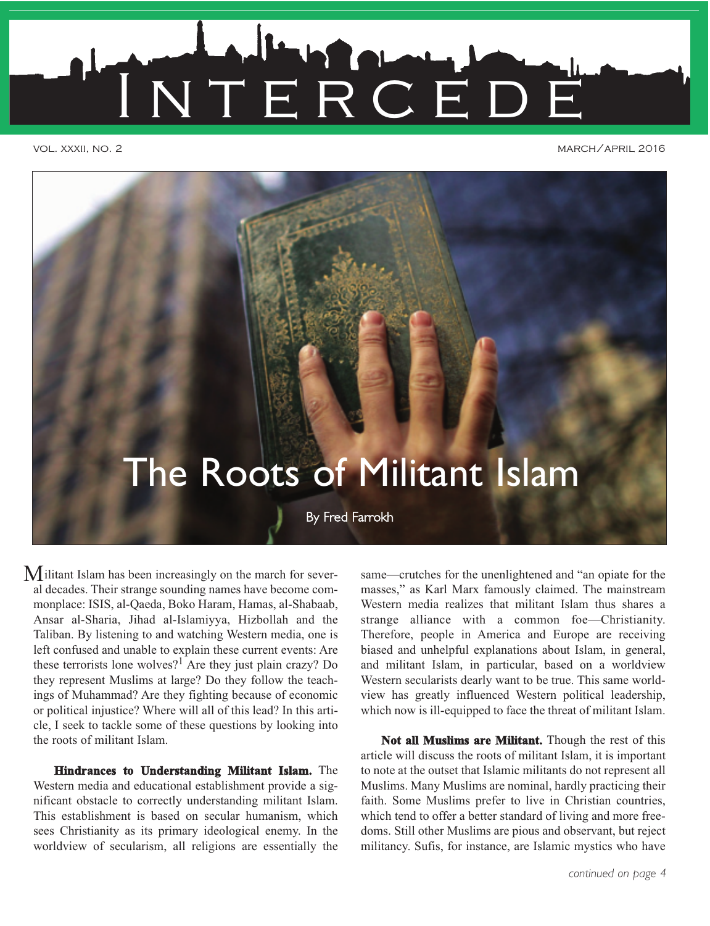

vol. xxxii, no. 2 march/april 2016



M ilitant Islam has been increasingly on the march for sever-<br>
same—crutches for the unenlightened and "an opiate for the al decades. Their strange sounding names have become commonplace: ISIS, al-Qaeda, Boko Haram, Hamas, al-Shabaab, Ansar al-Sharia, Jihad al-Islamiyya, Hizbollah and the Taliban. By listening to and watching Western media, one is left confused and unable to explain these current events: Are these terrorists lone wolves?<sup>1</sup> Are they just plain crazy? Do they represent Muslims at large? Do they follow the teachings of Muhammad? Are they fighting because of economic or political injustice? Where will all of this lead? In this article, I seek to tackle some of these questions by looking into the roots of militant Islam.

**Hindrances to Understanding Militant Islam.** The Western media and educational establishment provide a significant obstacle to correctly understanding militant Islam. This establishment is based on secular humanism, which sees Christianity as its primary ideological enemy. In the worldview of secularism, all religions are essentially the masses," as Karl Marx famously claimed. The mainstream Western media realizes that militant Islam thus shares a strange alliance with a common foe—Christianity. Therefore, people in America and Europe are receiving biased and unhelpful explanations about Islam, in general, and militant Islam, in particular, based on a worldview Western secularists dearly want to be true. This same worldview has greatly influenced Western political leadership, which now is ill-equipped to face the threat of militant Islam.

**Not all Muslims are Militant.** Though the rest of this article will discuss the roots of militant Islam, it is important to note at the outset that Islamic militants do not represent all Muslims. Many Muslims are nominal, hardly practicing their faith. Some Muslims prefer to live in Christian countries, which tend to offer a better standard of living and more freedoms. Still other Muslims are pious and observant, but reject militancy. Sufis, for instance, are Islamic mystics who have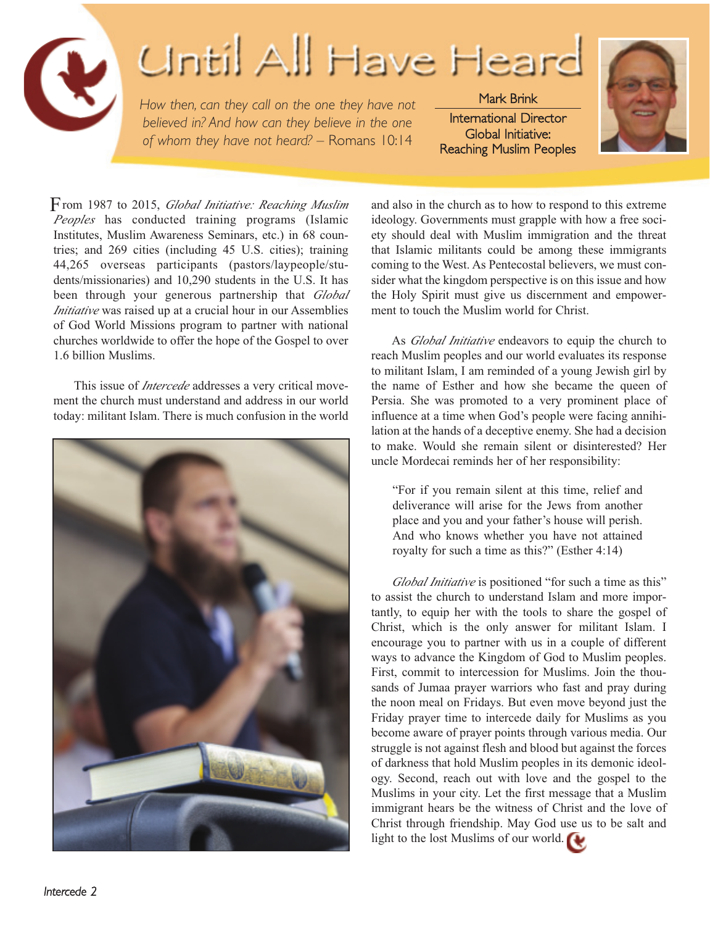

## Until All Have Heard

*How then, can they call on the one they have not believed in? And how can they believe in the one of whom they have not heard? –* Romans 10:14

Mark Brink International Director Global Initiative: Reaching Muslim Peoples



rom 1987 to 2015, *Global Initiative: Reaching Muslim* F *Peoples* has conducted training programs (Islamic Institutes, Muslim Awareness Seminars, etc.) in 68 countries; and 269 cities (including 45 U.S. cities); training 44,265 overseas participants (pastors/laypeople/students/missionaries) and 10,290 students in the U.S. It has been through your generous partnership that *Global Initiative* was raised up at a crucial hour in our Assemblies of God World Missions program to partner with national churches worldwide to offer the hope of the Gospel to over 1.6 billion Muslims.

This issue of *Intercede* addresses a very critical movement the church must understand and address in our world today: militant Islam. There is much confusion in the world



and also in the church as to how to respond to this extreme ideology. Governments must grapple with how a free society should deal with Muslim immigration and the threat that Islamic militants could be among these immigrants coming to the West. As Pentecostal believers, we must consider what the kingdom perspective is on this issue and how the Holy Spirit must give us discernment and empowerment to touch the Muslim world for Christ.

As *Global Initiative* endeavors to equip the church to reach Muslim peoples and our world evaluates its response to militant Islam, I am reminded of a young Jewish girl by the name of Esther and how she became the queen of Persia. She was promoted to a very prominent place of influence at a time when God's people were facing annihilation at the hands of a deceptive enemy. She had a decision to make. Would she remain silent or disinterested? Her uncle Mordecai reminds her of her responsibility:

"For if you remain silent at this time, relief and deliverance will arise for the Jews from another place and you and your father's house will perish. And who knows whether you have not attained royalty for such a time as this?" (Esther 4:14)

*Global Initiative* is positioned "for such a time as this" to assist the church to understand Islam and more importantly, to equip her with the tools to share the gospel of Christ, which is the only answer for militant Islam. I encourage you to partner with us in a couple of different ways to advance the Kingdom of God to Muslim peoples. First, commit to intercession for Muslims. Join the thousands of Jumaa prayer warriors who fast and pray during the noon meal on Fridays. But even move beyond just the Friday prayer time to intercede daily for Muslims as you become aware of prayer points through various media. Our struggle is not against flesh and blood but against the forces of darkness that hold Muslim peoples in its demonic ideology. Second, reach out with love and the gospel to the Muslims in your city. Let the first message that a Muslim immigrant hears be the witness of Christ and the love of Christ through friendship. May God use us to be salt and light to the lost Muslims of our world.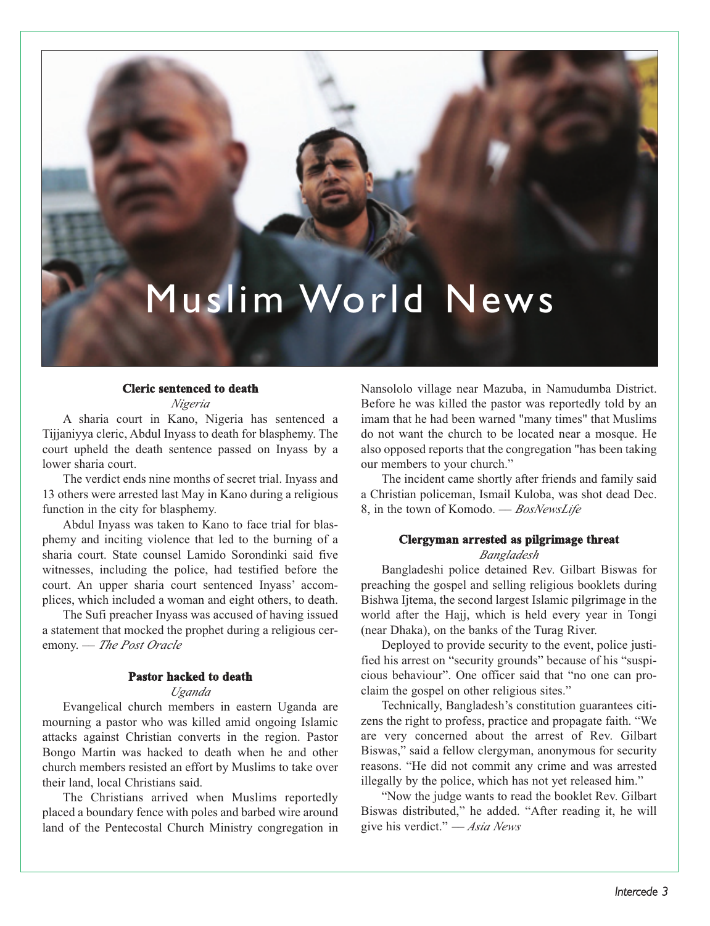

#### **Cleric sentenced to death**

*Nigeria*

A sharia court in Kano, Nigeria has sentenced a Tijjaniyya cleric, Abdul Inyass to death for blasphemy. The court upheld the death sentence passed on Inyass by a lower sharia court.

The verdict ends nine months of secret trial. Inyass and 13 others were arrested last May in Kano during a religious function in the city for blasphemy.

Abdul Inyass was taken to Kano to face trial for blasphemy and inciting violence that led to the burning of a sharia court. State counsel Lamido Sorondinki said five witnesses, including the police, had testified before the court. An upper sharia court sentenced Inyass' accomplices, which included a woman and eight others, to death.

The Sufi preacher Inyass was accused of having issued a statement that mocked the prophet during a religious ceremony. –– *The Post Oracle*

#### **Pastor hacked to death**

#### *Uganda*

Evangelical church members in eastern Uganda are mourning a pastor who was killed amid ongoing Islamic attacks against Christian converts in the region. Pastor Bongo Martin was hacked to death when he and other church members resisted an effort by Muslims to take over their land, local Christians said.

The Christians arrived when Muslims reportedly placed a boundary fence with poles and barbed wire around land of the Pentecostal Church Ministry congregation in Nansololo village near Mazuba, in Namudumba District. Before he was killed the pastor was reportedly told by an imam that he had been warned "many times" that Muslims do not want the church to be located near a mosque. He also opposed reports that the congregation "has been taking our members to your church."

The incident came shortly after friends and family said a Christian policeman, Ismail Kuloba, was shot dead Dec. 8, in the town of Komodo. –– *BosNewsLife*

#### **Clergyman arrested as pilgrimage threat**

#### *Bangladesh*

Bangladeshi police detained Rev. Gilbart Biswas for preaching the gospel and selling religious booklets during Bishwa Ijtema, the second largest Islamic pilgrimage in the world after the Hajj, which is held every year in Tongi (near Dhaka), on the banks of the Turag River.

Deployed to provide security to the event, police justified his arrest on "security grounds" because of his "suspicious behaviour". One officer said that "no one can proclaim the gospel on other religious sites."

Technically, Bangladesh's constitution guarantees citizens the right to profess, practice and propagate faith. "We are very concerned about the arrest of Rev. Gilbart Biswas," said a fellow clergyman, anonymous for security reasons. "He did not commit any crime and was arrested illegally by the police, which has not yet released him."

"Now the judge wants to read the booklet Rev. Gilbart Biswas distributed," he added. "After reading it, he will give his verdict." *–– Asia News*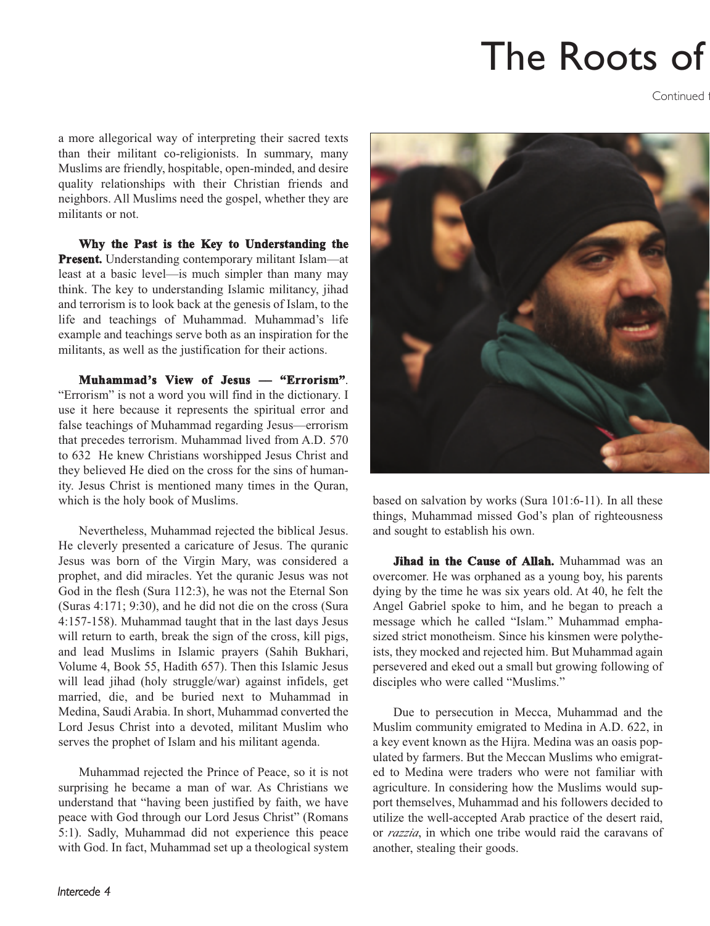## The Roots of

Continued f

a more allegorical way of interpreting their sacred texts than their militant co-religionists. In summary, many Muslims are friendly, hospitable, open-minded, and desire quality relationships with their Christian friends and neighbors. All Muslims need the gospel, whether they are militants or not.

**Why the Past is the Key to Understanding the Present.** Understanding contemporary militant Islam—at least at a basic level—is much simpler than many may think. The key to understanding Islamic militancy, jihad and terrorism is to look back at the genesis of Islam, to the life and teachings of Muhammad. Muhammad's life example and teachings serve both as an inspiration for the militants, as well as the justification for their actions.

**Muhammad's View of Jesus –– "Errorism"**. "Errorism" is not a word you will find in the dictionary. I use it here because it represents the spiritual error and false teachings of Muhammad regarding Jesus—errorism that precedes terrorism. Muhammad lived from A.D. 570 to 632 He knew Christians worshipped Jesus Christ and they believed He died on the cross for the sins of humanity. Jesus Christ is mentioned many times in the Quran, which is the holy book of Muslims.

Nevertheless, Muhammad rejected the biblical Jesus. He cleverly presented a caricature of Jesus. The quranic Jesus was born of the Virgin Mary, was considered a prophet, and did miracles. Yet the quranic Jesus was not God in the flesh (Sura 112:3), he was not the Eternal Son (Suras 4:171; 9:30), and he did not die on the cross (Sura 4:157-158). Muhammad taught that in the last days Jesus will return to earth, break the sign of the cross, kill pigs, and lead Muslims in Islamic prayers (Sahih Bukhari, Volume 4, Book 55, Hadith 657). Then this Islamic Jesus will lead jihad (holy struggle/war) against infidels, get married, die, and be buried next to Muhammad in Medina, Saudi Arabia. In short, Muhammad converted the Lord Jesus Christ into a devoted, militant Muslim who serves the prophet of Islam and his militant agenda.

Muhammad rejected the Prince of Peace, so it is not surprising he became a man of war. As Christians we understand that "having been justified by faith, we have peace with God through our Lord Jesus Christ" (Romans 5:1). Sadly, Muhammad did not experience this peace with God. In fact, Muhammad set up a theological system



based on salvation by works (Sura 101:6-11). In all these things, Muhammad missed God's plan of righteousness and sought to establish his own.

**Jihad in the Cause of Allah.** Muhammad was an overcomer. He was orphaned as a young boy, his parents dying by the time he was six years old. At 40, he felt the Angel Gabriel spoke to him, and he began to preach a message which he called "Islam." Muhammad emphasized strict monotheism. Since his kinsmen were polytheists, they mocked and rejected him. But Muhammad again persevered and eked out a small but growing following of disciples who were called "Muslims."

Due to persecution in Mecca, Muhammad and the Muslim community emigrated to Medina in A.D. 622, in a key event known as the Hijra. Medina was an oasis populated by farmers. But the Meccan Muslims who emigrated to Medina were traders who were not familiar with agriculture. In considering how the Muslims would support themselves, Muhammad and his followers decided to utilize the well-accepted Arab practice of the desert raid, or *razzia*, in which one tribe would raid the caravans of another, stealing their goods.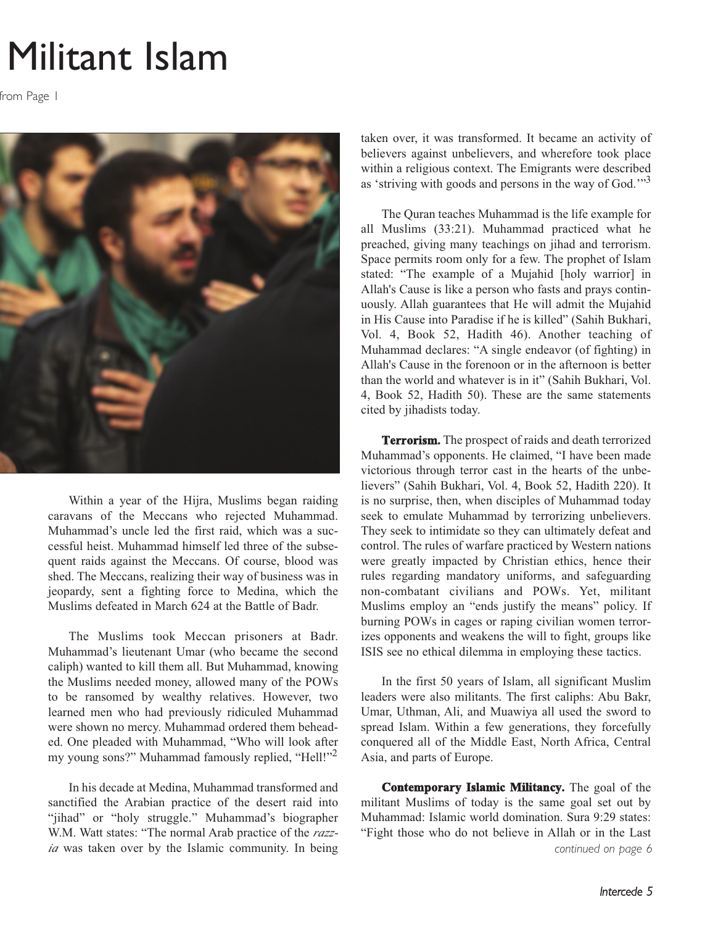### Militant Islam

from Page 1



Within a year of the Hijra, Muslims began raiding caravans of the Meccans who rejected Muhammad. Muhammad's uncle led the first raid, which was a successful heist. Muhammad himself led three of the subsequent raids against the Meccans. Of course, blood was shed. The Meccans, realizing their way of business was in jeopardy, sent a fighting force to Medina, which the Muslims defeated in March 624 at the Battle of Badr.

The Muslims took Meccan prisoners at Badr. Muhammad's lieutenant Umar (who became the second caliph) wanted to kill them all. But Muhammad, knowing the Muslims needed money, allowed many of the POWs to be ransomed by wealthy relatives. However, two learned men who had previously ridiculed Muhammad were shown no mercy. Muhammad ordered them beheaded. One pleaded with Muhammad, "Who will look after my young sons?" Muhammad famously replied, "Hell!"<sup>2</sup>

In his decade at Medina, Muhammad transformed and sanctified the Arabian practice of the desert raid into "jihad" or "holy struggle." Muhammad's biographer W.M. Watt states: "The normal Arab practice of the *razzia* was taken over by the Islamic community. In being taken over, it was transformed. It became an activity of believers against unbelievers, and wherefore took place within a religious context. The Emigrants were described as 'striving with goods and persons in the way of God.'"<sup>3</sup>

The Quran teaches Muhammad is the life example for all Muslims (33:21). Muhammad practiced what he preached, giving many teachings on jihad and terrorism. Space permits room only for a few. The prophet of Islam stated: "The example of a Mujahid [holy warrior] in Allah's Cause is like a person who fasts and prays continuously. Allah guarantees that He will admit the Mujahid in His Cause into Paradise if he is killed" (Sahih Bukhari, Vol. 4, Book 52, Hadith 46). Another teaching of Muhammad declares: "A single endeavor (of fighting) in Allah's Cause in the forenoon or in the afternoon is better than the world and whatever is in it" (Sahih Bukhari, Vol. 4, Book 52, Hadith 50). These are the same statements cited by jihadists today.

**Terrorism.** The prospect of raids and death terrorized Muhammad's opponents. He claimed, "I have been made victorious through terror cast in the hearts of the unbelievers" (Sahih Bukhari, Vol. 4, Book 52, Hadith 220). It is no surprise, then, when disciples of Muhammad today seek to emulate Muhammad by terrorizing unbelievers. They seek to intimidate so they can ultimately defeat and control. The rules of warfare practiced by Western nations were greatly impacted by Christian ethics, hence their rules regarding mandatory uniforms, and safeguarding non-combatant civilians and POWs. Yet, militant Muslims employ an "ends justify the means" policy. If burning POWs in cages or raping civilian women terrorizes opponents and weakens the will to fight, groups like ISIS see no ethical dilemma in employing these tactics.

In the first 50 years of Islam, all significant Muslim leaders were also militants. The first caliphs: Abu Bakr, Umar, Uthman, Ali, and Muawiya all used the sword to spread Islam. Within a few generations, they forcefully conquered all of the Middle East, North Africa, Central Asia, and parts of Europe.

**Contemporary Islamic Militancy.** The goal of the militant Muslims of today is the same goal set out by Muhammad: Islamic world domination. Sura 9:29 states: "Fight those who do not believe in Allah or in the Last *continued on page 6*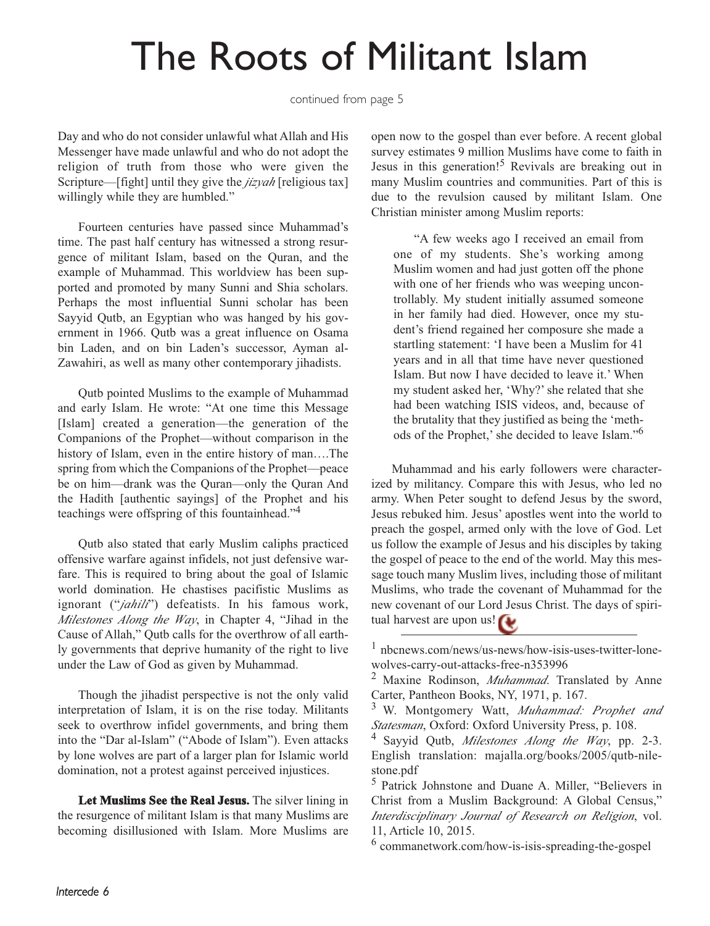### The Roots of Militant Islam

continued from page 5

Day and who do not consider unlawful what Allah and His Messenger have made unlawful and who do not adopt the religion of truth from those who were given the Scripture—[fight] until they give the *jizyah* [religious tax] willingly while they are humbled."

Fourteen centuries have passed since Muhammad's time. The past half century has witnessed a strong resurgence of militant Islam, based on the Quran, and the example of Muhammad. This worldview has been supported and promoted by many Sunni and Shia scholars. Perhaps the most influential Sunni scholar has been Sayyid Qutb, an Egyptian who was hanged by his government in 1966. Qutb was a great influence on Osama bin Laden, and on bin Laden's successor, Ayman al-Zawahiri, as well as many other contemporary jihadists.

Qutb pointed Muslims to the example of Muhammad and early Islam. He wrote: "At one time this Message [Islam] created a generation—the generation of the Companions of the Prophet––without comparison in the history of Islam, even in the entire history of man….The spring from which the Companions of the Prophet––peace be on him––drank was the Quran—only the Quran And the Hadith [authentic sayings] of the Prophet and his teachings were offspring of this fountainhead."4

Qutb also stated that early Muslim caliphs practiced offensive warfare against infidels, not just defensive warfare. This is required to bring about the goal of Islamic world domination. He chastises pacifistic Muslims as ignorant ("jahili") defeatists. In his famous work, *Milestones Along the Way*, in Chapter 4, "Jihad in the Cause of Allah," Qutb calls for the overthrow of all earthly governments that deprive humanity of the right to live under the Law of God as given by Muhammad.

Though the jihadist perspective is not the only valid interpretation of Islam, it is on the rise today. Militants seek to overthrow infidel governments, and bring them into the "Dar al-Islam" ("Abode of Islam"). Even attacks by lone wolves are part of a larger plan for Islamic world domination, not a protest against perceived injustices.

**Let Muslims See the Real Jesus.** The silver lining in the resurgence of militant Islam is that many Muslims are becoming disillusioned with Islam. More Muslims are open now to the gospel than ever before. A recent global survey estimates 9 million Muslims have come to faith in Jesus in this generation!5 Revivals are breaking out in many Muslim countries and communities. Part of this is due to the revulsion caused by militant Islam. One Christian minister among Muslim reports:

"A few weeks ago I received an email from one of my students. She's working among Muslim women and had just gotten off the phone with one of her friends who was weeping uncontrollably. My student initially assumed someone in her family had died. However, once my student's friend regained her composure she made a startling statement: 'I have been a Muslim for 41 years and in all that time have never questioned Islam. But now I have decided to leave it.' When my student asked her, 'Why?' she related that she had been watching ISIS videos, and, because of the brutality that they justified as being the 'methods of the Prophet,' she decided to leave Islam."6

Muhammad and his early followers were characterized by militancy. Compare this with Jesus, who led no army. When Peter sought to defend Jesus by the sword, Jesus rebuked him. Jesus' apostles went into the world to preach the gospel, armed only with the love of God. Let us follow the example of Jesus and his disciples by taking the gospel of peace to the end of the world. May this message touch many Muslim lives, including those of militant Muslims, who trade the covenant of Muhammad for the new covenant of our Lord Jesus Christ. The days of spiritual harvest are upon us!

<sup>6</sup> commanetwork.com/how-is-isis-spreading-the-gospel

<sup>1</sup> nbcnews.com/news/us-news/how-isis-uses-twitter-lonewolves-carry-out-attacks-free-n353996

<sup>2</sup> Maxine Rodinson, *Muhammad*. Translated by Anne Carter, Pantheon Books, NY, 1971, p. 167.

<sup>3</sup> W. Montgomery Watt, *Muhammad: Prophet and Statesman*, Oxford: Oxford University Press, p. 108.

<sup>4</sup> Sayyid Qutb, *Milestones Along the Way*, pp. 2-3. English translation: majalla.org/books/2005/qutb-nilestone.pdf

<sup>5</sup> Patrick Johnstone and Duane A. Miller, "Believers in Christ from a Muslim Background: A Global Census," *Interdisciplinary Journal of Research on Religion*, vol. 11, Article 10, 2015.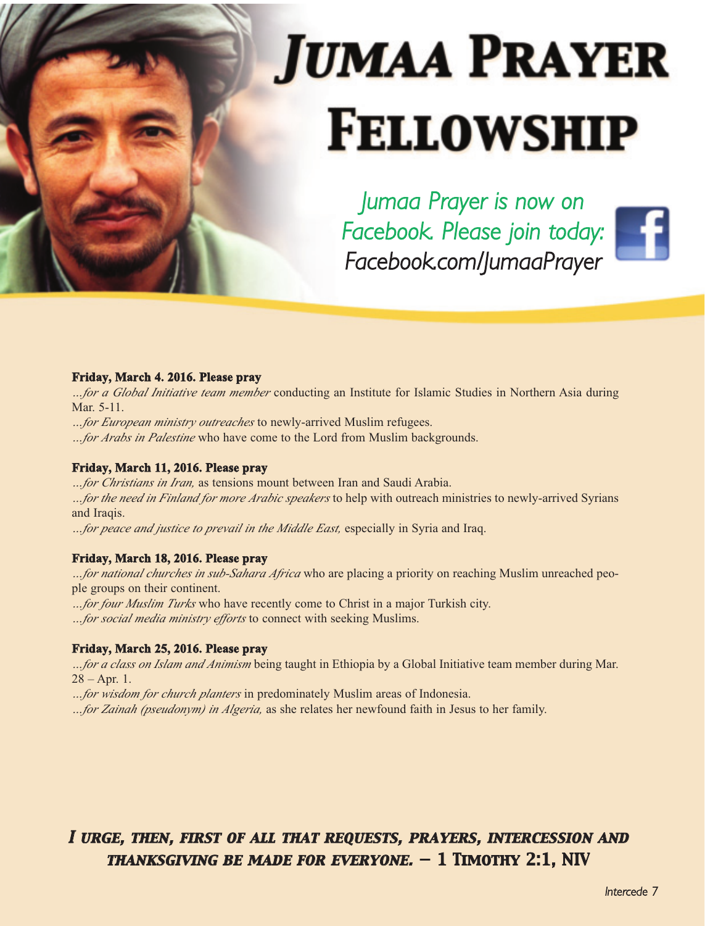# **JUMAA PRAYER FELLOWSHIP**

*Jumaa Prayer is now on Facebook. Please join today: Facebook.com/JumaaPrayer*

#### **Friday, March 4. 2016. Please pray**

*…for a Global Initiative team member* conducting an Institute for Islamic Studies in Northern Asia during Mar. 5-11.

*…for European ministry outreaches* to newly-arrived Muslim refugees.

*…for Arabs in Palestine* who have come to the Lord from Muslim backgrounds.

#### **Friday, March 11, 2016. Please pray**

*…for Christians in Iran,* as tensions mount between Iran and Saudi Arabia. *…for the need in Finland for more Arabic speakers* to help with outreach ministries to newly-arrived Syrians and Iraqis.

*…for peace and justice to prevail in the Middle East,* especially in Syria and Iraq.

#### **Friday, March 18, 2016. Please pray**

*…for national churches in sub-Sahara Africa* who are placing a priority on reaching Muslim unreached people groups on their continent.

*…for four Muslim Turks* who have recently come to Christ in a major Turkish city.

*…for social media ministry efforts* to connect with seeking Muslims.

#### **Friday, March 25, 2016. Please pray**

*…for a class on Islam and Animism* being taught in Ethiopia by a Global Initiative team member during Mar.  $28 - Apr. 1.$ 

*…for wisdom for church planters* in predominately Muslim areas of Indonesia.

*…for Zainah (pseudonym) in Algeria,* as she relates her newfound faith in Jesus to her family.

#### *I urge, then, first of all that requests, prayers, intercession and thanksgiving be made for everyone. — 1 Timothy 2:1, NIV*

*Intercede 7*